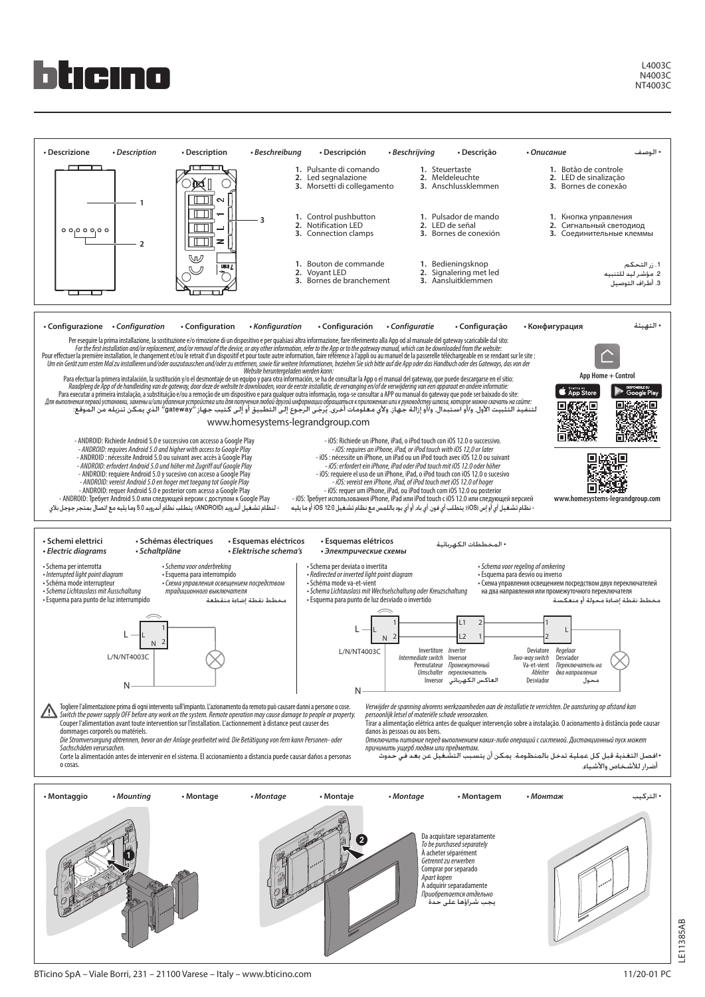

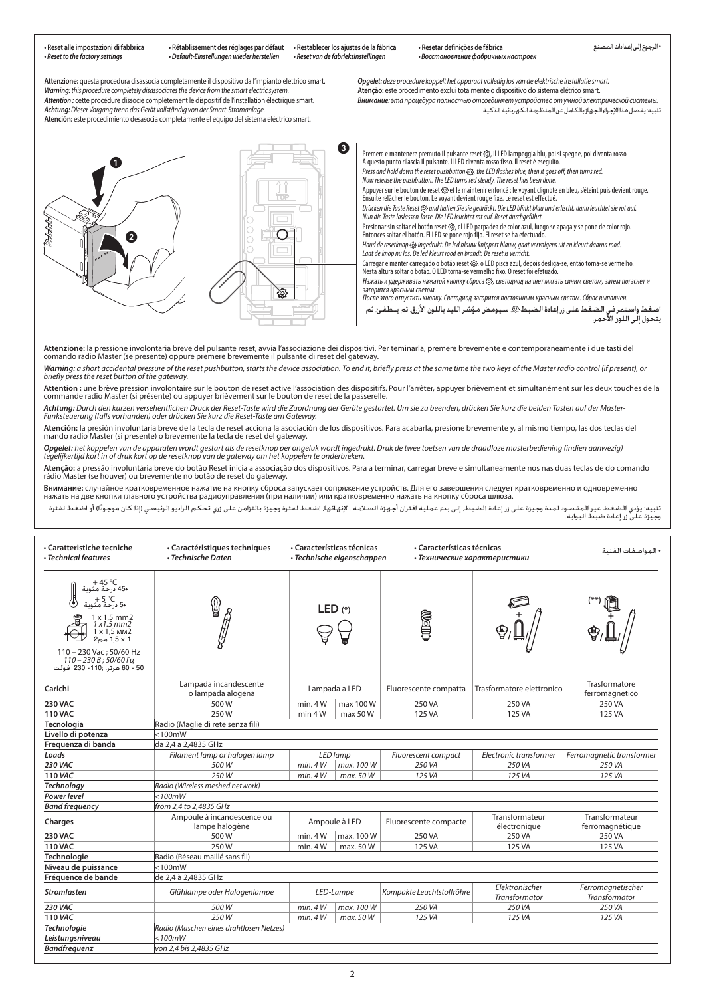| · Reset alle impostazioni di fabbrica<br>• Reset to the factory settings                                                                                                                                                        | • Rétablissement des réglages par défaut<br>· Default-Einstellungen wieder herstellen                                                                                                                                                                                                                                                                                                                                                                                                                                                                                                                                                                                                                                                                                                                                                                                                                                                                                                                                                                                                                                                                                                                                                                                                                                                                                                                                                                                                                                                                                                                                                                                                                                                                                                                                                                                                                                                                                                                                                                                                                                                                                                                                                                                                                                                                                                                                                | « Restablecer los ajustes de la fábrica<br>· Reset van de fabrieksinstellingen | · Resetar definições de fábrica                                                                                                                                                                                                                                                                                                                                                                                                                                                                                                                                                                                                                                                                                                                                                                                                                                                                                                                                                                                                                                                                                                                                                                                                                                                                                                                                                                                                                                                                                                                                                                                                              | • Восстановление фабричных настроек | • الرجوع إلى إعدادات المصنع                                                                                                                                       |
|---------------------------------------------------------------------------------------------------------------------------------------------------------------------------------------------------------------------------------|--------------------------------------------------------------------------------------------------------------------------------------------------------------------------------------------------------------------------------------------------------------------------------------------------------------------------------------------------------------------------------------------------------------------------------------------------------------------------------------------------------------------------------------------------------------------------------------------------------------------------------------------------------------------------------------------------------------------------------------------------------------------------------------------------------------------------------------------------------------------------------------------------------------------------------------------------------------------------------------------------------------------------------------------------------------------------------------------------------------------------------------------------------------------------------------------------------------------------------------------------------------------------------------------------------------------------------------------------------------------------------------------------------------------------------------------------------------------------------------------------------------------------------------------------------------------------------------------------------------------------------------------------------------------------------------------------------------------------------------------------------------------------------------------------------------------------------------------------------------------------------------------------------------------------------------------------------------------------------------------------------------------------------------------------------------------------------------------------------------------------------------------------------------------------------------------------------------------------------------------------------------------------------------------------------------------------------------------------------------------------------------------------------------------------------------|--------------------------------------------------------------------------------|----------------------------------------------------------------------------------------------------------------------------------------------------------------------------------------------------------------------------------------------------------------------------------------------------------------------------------------------------------------------------------------------------------------------------------------------------------------------------------------------------------------------------------------------------------------------------------------------------------------------------------------------------------------------------------------------------------------------------------------------------------------------------------------------------------------------------------------------------------------------------------------------------------------------------------------------------------------------------------------------------------------------------------------------------------------------------------------------------------------------------------------------------------------------------------------------------------------------------------------------------------------------------------------------------------------------------------------------------------------------------------------------------------------------------------------------------------------------------------------------------------------------------------------------------------------------------------------------------------------------------------------------|-------------------------------------|-------------------------------------------------------------------------------------------------------------------------------------------------------------------|
|                                                                                                                                                                                                                                 | Attenzione: questa procedura disassocia completamente il dispositivo dall'impianto elettrico smart.<br>Warning: this procedure completely disassociates the device from the smart electric system.<br>Attention : cette procédure dissocie complètement le dispositif de l'installation électrique smart.<br>Achtung: Dieser Vorgang trenn das Gerät vollständig von der Smart-Stromanlage.<br>Atención: este procedimiento desasocia completamente el equipo del sistema eléctrico smart.                                                                                                                                                                                                                                                                                                                                                                                                                                                                                                                                                                                                                                                                                                                                                                                                                                                                                                                                                                                                                                                                                                                                                                                                                                                                                                                                                                                                                                                                                                                                                                                                                                                                                                                                                                                                                                                                                                                                           |                                                                                | Opgelet: deze procedure koppelt het apparaat volledig los van de elektrische installatie smart.<br>Atenção: este procedimento exclui totalmente o dispositivo do sistema elétrico smart.                                                                                                                                                                                                                                                                                                                                                                                                                                                                                                                                                                                                                                                                                                                                                                                                                                                                                                                                                                                                                                                                                                                                                                                                                                                                                                                                                                                                                                                     |                                     | Внимание: эта процедура полностью отсоединяет устройство от умной электрической системы.<br>تنبيه: يفصل هذا الإجراء الجهاز بالكامل عن المنظومة الكهربائية الذكية. |
| $\mathbf{1}$<br>0                                                                                                                                                                                                               | প্রী                                                                                                                                                                                                                                                                                                                                                                                                                                                                                                                                                                                                                                                                                                                                                                                                                                                                                                                                                                                                                                                                                                                                                                                                                                                                                                                                                                                                                                                                                                                                                                                                                                                                                                                                                                                                                                                                                                                                                                                                                                                                                                                                                                                                                                                                                                                                                                                                                                 | €                                                                              | Premere e mantenere premuto il pulsante reset @, il LED lampeggia blu, poi si spegne, poi diventa rosso.<br>A questo punto rilascia il pulsante. Il LED diventa rosso fisso. Il reset è esequito.<br>Press and hold down the reset pushbutton <33, the LED flashes blue, then it goes off, then turns red.<br>Now release the pushbutton. The LED turns red steady. The reset has been done.<br>Appuyer sur le bouton de reset @ et le maintenir enfoncé : le voyant clignote en bleu, s'éteint puis devient rouge.<br>Ensuite relâcher le bouton. Le voyant devient rouge fixe. Le reset est effectué.<br>Drücken die Taste Reset @ und halten Sie sie gedrückt. Die LED blinkt blau und erlischt, dann leuchtet sie rot auf.<br>Nun die Taste loslassen Taste. Die LED leuchtet rot auf. Reset durchgeführt.<br>Presionar sin soltar el botón reset @, el LED parpadea de color azul, luego se apaga y se pone de color rojo.<br>Entonces soltar el botón. El LED se pone rojo fijo. El reset se ha efectuado.<br>Houd de resetknop @ ingedrukt. De led blauw knippert blauw, gaat vervolgens uit en kleurt daarna rood.<br>Laat de knop nu los. De led kleurt rood en brandt. De reset is verricht.<br>Carregar e manter carregado o botão reset @, o LED pisca azul, depois desliga-se, então torna-se vermelho.<br>Nesta altura soltar o botão. O LED torna-se vermelho fixo. O reset foi efetuado.<br>Нажать и удерживать нажатой кнопку сброса ۞, светодиод начнет мигать синим светом, затем погаснет и<br>загорится красным светом.<br>После этого отпустить кнопку. Светодиод загорится постоянным красным светом. Сброс выполнен. |                                     | اضغط واستمر في الضغط على زر إعادة الضبط ۞. سيـومـض مؤشر الليـد باللون الأزرق. ثم ينطـفـئ. ثم<br>يتحول إلـى اللون الأحمر.                                          |
| briefly press the reset button of the gateway.<br>• Caratteristiche tecniche                                                                                                                                                    | Attenzione: la pressione involontaria breve del pulsante reset, avvia l'associazione dei dispositivi. Per teminarla, premere brevemente e contemporaneamente i due tasti del<br>comando radio Master (se presente) oppure premere brevemente il pulsante di reset del gateway.<br>Warning: a short accidental pressure of the reset pushbutton, starts the device association. To end it, briefly press at the same time the two keys of the Master radio control (if present), or<br>Attention : une brève pression involontaire sur le bouton de reset active l'association des dispositifs. Pour l'arrêter, appuyer brièvement et simultanément sur les deux touches de la<br>commande radio Master (si présente) ou appuyer brièvement sur le bouton de reset de la passerelle.<br>Achtung: Durch den kurzen versehentlichen Druck der Reset-Taste wird die Zuordnung der Geräte gestartet. Um sie zu beenden, drücken Sie kurz die beiden Tasten auf der Master-<br>Funksteuerung (falls vorhanden) oder drücken Sie kurz die Reset-Taste am Gateway.<br>Atención: la presión involuntaria breve de la tecla de reset acciona la asociación de los dispositivos. Para acabarla, presione brevemente y, al mismo tiempo, las dos teclas del<br>mando radio Master (si presente) o brevemente la tecla de reset del gateway.<br>Opgelet: het koppelen van de apparaten wordt gestart als de resetknop per ongeluk wordt ingedrukt. Druk de twee toetsen van de draadloze masterbediening (indien aanwezig)<br>tegelijkertijd kort in of druk kort op de resetknop van de gateway om het koppelen te onderbreken.<br>Atenção: a pressão involuntária breve do botão Reset inicia a associação dos dispositivos. Para a terminar, carregar breve e simultaneamente nos nas duas teclas de do comando<br>rádio Master (se houver) ou brevemente no botão de reset do gateway.<br>Внимание: случайное кратковременное нажатие на кнопку сброса запускает сопряжение устройств. Для его завершения следует кратковременно и одновременно<br>нажать на две кнопки главного устройства радиоуправления (при наличии) или кратковременно нажать на кнопку сброса шлюза.<br>تنبيه: يؤدي الضغط غير المقصود لمدة وجيزة على زر إعادة الضبط. إلى بدء عملية اقتران أجهزة المنقط استخط والمن المنع المعامل وري تحكم الراديو الرئيسي (إذا كان موجودًا) أو اضغط لفترة بالترامين والمنفس المسلم والمسلم والمسلم وا<br>• Caractéristiques techniques | • Características técnicas                                                     | • Características técnicas                                                                                                                                                                                                                                                                                                                                                                                                                                                                                                                                                                                                                                                                                                                                                                                                                                                                                                                                                                                                                                                                                                                                                                                                                                                                                                                                                                                                                                                                                                                                                                                                                   |                                     |                                                                                                                                                                   |
| • Technical features<br>+ 45 °C<br>+45 درجة مئوية<br>°C<br>+5 درجة مءً<br>$1 \times 1,5$ mm2<br>1x1.5mm2<br>$1 \times 1,5$ MM2<br>1 × 1,5 مم2<br>110 - 230 Vac; 50/60 Hz<br>110-230 B; 50/60 Fu<br>50 - 60 هرتز. ;110- 230 فولت | • Technische Daten                                                                                                                                                                                                                                                                                                                                                                                                                                                                                                                                                                                                                                                                                                                                                                                                                                                                                                                                                                                                                                                                                                                                                                                                                                                                                                                                                                                                                                                                                                                                                                                                                                                                                                                                                                                                                                                                                                                                                                                                                                                                                                                                                                                                                                                                                                                                                                                                                   | • Technische eigenschappen<br>LED $(*)$                                        | • Технические характеристики<br>Í                                                                                                                                                                                                                                                                                                                                                                                                                                                                                                                                                                                                                                                                                                                                                                                                                                                                                                                                                                                                                                                                                                                                                                                                                                                                                                                                                                                                                                                                                                                                                                                                            |                                     | • المواصفات الفنية                                                                                                                                                |

| • Caratteristiche tecniche<br>• Technical features                                                                                                                                             | · Caractéristiques techniques<br>• Technische Daten |               | • Características técnicas<br>• Technische eigenschappen | • Características técnicas<br>• Технические характеристики |                                 | • المواصفات الفنية                 |
|------------------------------------------------------------------------------------------------------------------------------------------------------------------------------------------------|-----------------------------------------------------|---------------|----------------------------------------------------------|------------------------------------------------------------|---------------------------------|------------------------------------|
| + 45 °C<br>+45 درجة مئوية<br>+5 درجة مئوية<br>$1 \times 1.5$ mm2<br>1x1.5mm2<br>1 x 1,5 mm2<br>1.5 × 1.5 مم2<br>110 - 230 Vac; 50/60 Hz<br>110-230 B; 50/60 Fu<br>50 - 60 هرتز. ;110- 230 فولت | ⋓                                                   | LED $(*)$     |                                                          | the                                                        |                                 |                                    |
| Carichi                                                                                                                                                                                        | Lampada incandescente<br>o lampada alogena          | Lampada a LED |                                                          | Fluorescente compatta                                      | Trasformatore elettronico       | Trasformatore<br>ferromagnetico    |
| <b>230 VAC</b>                                                                                                                                                                                 | 500W                                                | min.4W        | max 100 W                                                | 250 VA                                                     | 250 VA                          | 250 VA                             |
| <b>110 VAC</b>                                                                                                                                                                                 | 250W                                                | min 4 W       | max 50 W                                                 | 125 VA                                                     | 125 VA                          | 125 VA                             |
| Tecnologia                                                                                                                                                                                     | Radio (Maglie di rete senza fili)                   |               |                                                          |                                                            |                                 |                                    |
| Livello di potenza                                                                                                                                                                             | $<$ 100mW                                           |               |                                                          |                                                            |                                 |                                    |
| Frequenza di banda                                                                                                                                                                             | da 2,4 a 2,4835 GHz                                 |               |                                                          |                                                            |                                 |                                    |
| Loads                                                                                                                                                                                          | Filament lamp or halogen lamp                       |               | LED lamp                                                 | Fluorescent compact                                        | Electronic transformer          | Ferromagnetic transformer          |
| <b>230 VAC</b>                                                                                                                                                                                 | 500W                                                | min.4W        | max. 100 W                                               | 250 VA                                                     | 250 VA                          | 250 VA                             |
| <b>110 VAC</b>                                                                                                                                                                                 | 250W                                                | min.4W        | max. 50 W                                                | 125 VA                                                     | 125 VA                          | 125 VA                             |
| <b>Technology</b>                                                                                                                                                                              | Radio (Wireless meshed network)                     |               |                                                          |                                                            |                                 |                                    |
| <b>Power level</b>                                                                                                                                                                             | $<$ 100 $m$ W                                       |               |                                                          |                                                            |                                 |                                    |
| <b>Band frequency</b>                                                                                                                                                                          | from 2,4 to 2,4835 GHz                              |               |                                                          |                                                            |                                 |                                    |
| Charges                                                                                                                                                                                        | Ampoule à incandescence ou<br>lampe halogène        |               | Ampoule à LED                                            | Fluorescente compacte                                      | Transformateur<br>électronique  | Transformateur<br>ferromagnétique  |
| <b>230 VAC</b>                                                                                                                                                                                 | 500W                                                | min.4W        | max. 100 W                                               | 250 VA                                                     | 250 VA                          | 250 VA                             |
| <b>110 VAC</b>                                                                                                                                                                                 | 250W                                                | min.4W        | max. 50 W                                                | 125 VA                                                     | 125 VA                          | 125 VA                             |
| Technologie                                                                                                                                                                                    | Radio (Réseau maillé sans fil)                      |               |                                                          |                                                            |                                 |                                    |
| Niveau de puissance                                                                                                                                                                            | $<$ 100 $m$ W                                       |               |                                                          |                                                            |                                 |                                    |
| Fréquence de bande                                                                                                                                                                             | de 2.4 à 2.4835 GHz                                 |               |                                                          |                                                            |                                 |                                    |
| <b>Stromlasten</b>                                                                                                                                                                             | Glühlampe oder Halogenlampe                         |               | LED-Lampe                                                | Kompakte Leuchtstoffröhre                                  | Elektronischer<br>Transformator | Ferromagnetischer<br>Transformator |
| <b>230 VAC</b>                                                                                                                                                                                 | 500W                                                | min.4W        | max. 100 W                                               | 250 VA                                                     | 250 VA                          | 250 VA                             |
| <b>110 VAC</b>                                                                                                                                                                                 | 250W                                                | min.4W        | max. 50 W                                                | 125 VA                                                     | 125 VA                          | 125 VA                             |
| <b>Technologie</b>                                                                                                                                                                             | Radio (Maschen eines drahtlosen Netzes)             |               |                                                          |                                                            |                                 |                                    |
| Leistungsniveau                                                                                                                                                                                | $<$ 100 $m$ W                                       |               |                                                          |                                                            |                                 |                                    |
| <b>Bandfrequenz</b>                                                                                                                                                                            | von 2,4 bis 2,4835 GHz                              |               |                                                          |                                                            |                                 |                                    |